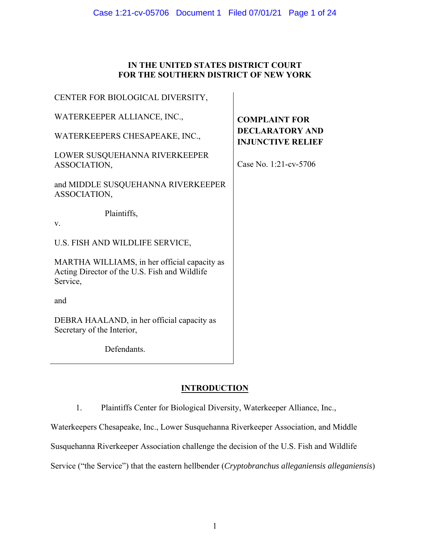# **IN THE UNITED STATES DISTRICT COURT FOR THE SOUTHERN DISTRICT OF NEW YORK**

| <b>COMPLAINT FOR</b><br><b>DECLARATORY AND</b><br><b>INJUNCTIVE RELIEF</b> |
|----------------------------------------------------------------------------|
|                                                                            |
|                                                                            |
|                                                                            |
|                                                                            |
|                                                                            |
|                                                                            |
|                                                                            |
|                                                                            |
|                                                                            |

# **INTRODUCTION**

1. Plaintiffs Center for Biological Diversity, Waterkeeper Alliance, Inc.,

Waterkeepers Chesapeake, Inc., Lower Susquehanna Riverkeeper Association, and Middle

Susquehanna Riverkeeper Association challenge the decision of the U.S. Fish and Wildlife

Service ("the Service") that the eastern hellbender (*Cryptobranchus alleganiensis alleganiensis*)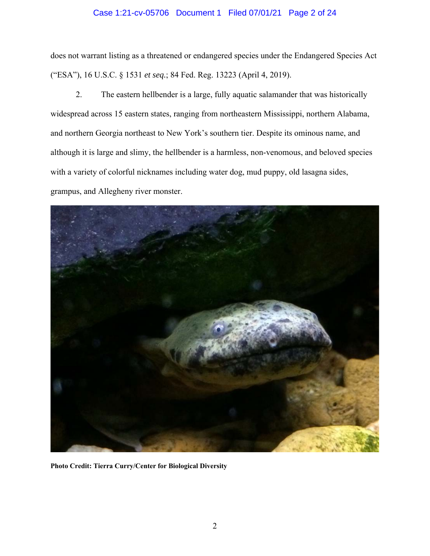# Case 1:21-cv-05706 Document 1 Filed 07/01/21 Page 2 of 24

does not warrant listing as a threatened or endangered species under the Endangered Species Act ("ESA"), 16 U.S.C. § 1531 *et seq.*; 84 Fed. Reg. 13223 (April 4, 2019).

2. The eastern hellbender is a large, fully aquatic salamander that was historically widespread across 15 eastern states, ranging from northeastern Mississippi, northern Alabama, and northern Georgia northeast to New York's southern tier. Despite its ominous name, and although it is large and slimy, the hellbender is a harmless, non-venomous, and beloved species with a variety of colorful nicknames including water dog, mud puppy, old lasagna sides, grampus, and Allegheny river monster.



**Photo Credit: Tierra Curry/Center for Biological Diversity**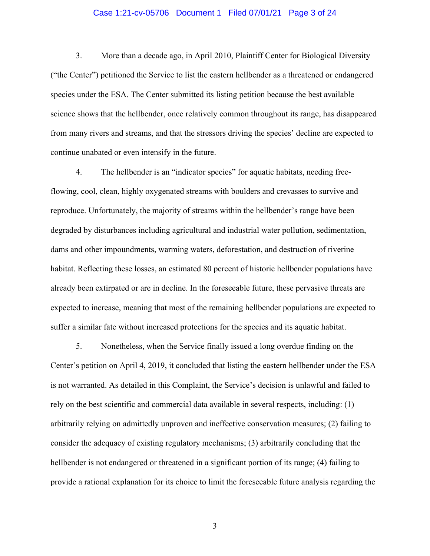#### Case 1:21-cv-05706 Document 1 Filed 07/01/21 Page 3 of 24

3. More than a decade ago, in April 2010, Plaintiff Center for Biological Diversity ("the Center") petitioned the Service to list the eastern hellbender as a threatened or endangered species under the ESA. The Center submitted its listing petition because the best available science shows that the hellbender, once relatively common throughout its range, has disappeared from many rivers and streams, and that the stressors driving the species' decline are expected to continue unabated or even intensify in the future.

4. The hellbender is an "indicator species" for aquatic habitats, needing freeflowing, cool, clean, highly oxygenated streams with boulders and crevasses to survive and reproduce. Unfortunately, the majority of streams within the hellbender's range have been degraded by disturbances including agricultural and industrial water pollution, sedimentation, dams and other impoundments, warming waters, deforestation, and destruction of riverine habitat. Reflecting these losses, an estimated 80 percent of historic hellbender populations have already been extirpated or are in decline. In the foreseeable future, these pervasive threats are expected to increase, meaning that most of the remaining hellbender populations are expected to suffer a similar fate without increased protections for the species and its aquatic habitat.

5. Nonetheless, when the Service finally issued a long overdue finding on the Center's petition on April 4, 2019, it concluded that listing the eastern hellbender under the ESA is not warranted. As detailed in this Complaint, the Service's decision is unlawful and failed to rely on the best scientific and commercial data available in several respects, including: (1) arbitrarily relying on admittedly unproven and ineffective conservation measures; (2) failing to consider the adequacy of existing regulatory mechanisms; (3) arbitrarily concluding that the hellbender is not endangered or threatened in a significant portion of its range; (4) failing to provide a rational explanation for its choice to limit the foreseeable future analysis regarding the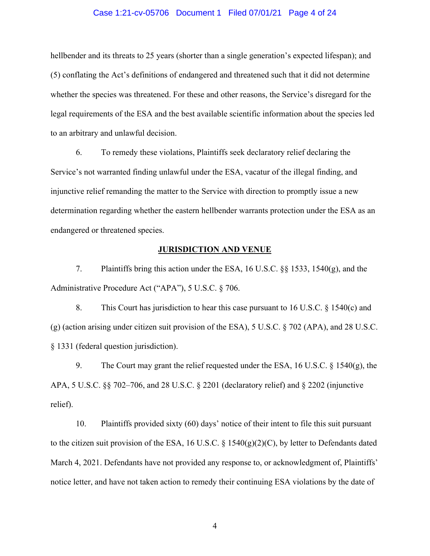#### Case 1:21-cv-05706 Document 1 Filed 07/01/21 Page 4 of 24

hellbender and its threats to 25 years (shorter than a single generation's expected lifespan); and (5) conflating the Act's definitions of endangered and threatened such that it did not determine whether the species was threatened. For these and other reasons, the Service's disregard for the legal requirements of the ESA and the best available scientific information about the species led to an arbitrary and unlawful decision.

6. To remedy these violations, Plaintiffs seek declaratory relief declaring the Service's not warranted finding unlawful under the ESA, vacatur of the illegal finding, and injunctive relief remanding the matter to the Service with direction to promptly issue a new determination regarding whether the eastern hellbender warrants protection under the ESA as an endangered or threatened species.

#### **JURISDICTION AND VENUE**

7. Plaintiffs bring this action under the ESA, 16 U.S.C. §§ 1533, 1540(g), and the Administrative Procedure Act ("APA"), 5 U.S.C. § 706.

8. This Court has jurisdiction to hear this case pursuant to 16 U.S.C. § 1540(c) and (g) (action arising under citizen suit provision of the ESA), 5 U.S.C. § 702 (APA), and 28 U.S.C. § 1331 (federal question jurisdiction).

9. The Court may grant the relief requested under the ESA, 16 U.S.C. § 1540(g), the APA, 5 U.S.C. §§ 702–706, and 28 U.S.C. § 2201 (declaratory relief) and § 2202 (injunctive relief).

10. Plaintiffs provided sixty (60) days' notice of their intent to file this suit pursuant to the citizen suit provision of the ESA, 16 U.S.C. § 1540(g)(2)(C), by letter to Defendants dated March 4, 2021. Defendants have not provided any response to, or acknowledgment of, Plaintiffs' notice letter, and have not taken action to remedy their continuing ESA violations by the date of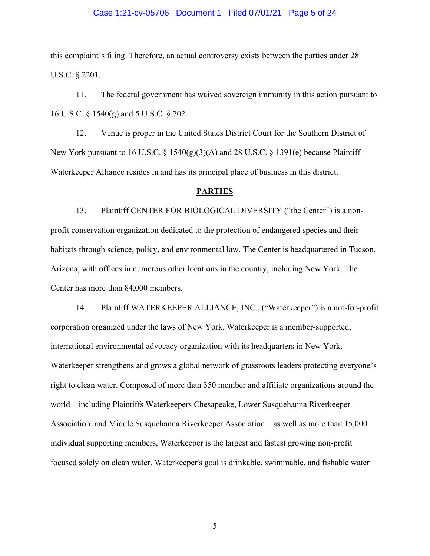#### Case 1:21-cv-05706 Document 1 Filed 07/01/21 Page 5 of 24

this complaint's filing. Therefore, an actual controversy exists between the parties under 28 U.S.C. § 2201.

11. The federal government has waived sovereign immunity in this action pursuant to 16 U.S.C. § 1540(g) and 5 U.S.C. § 702.

12. Venue is proper in the United States District Court for the Southern District of New York pursuant to 16 U.S.C.  $\S 1540(g)(3)(A)$  and 28 U.S.C.  $\S 1391(e)$  because Plaintiff Waterkeeper Alliance resides in and has its principal place of business in this district.

### **PARTIES**

13. Plaintiff CENTER FOR BIOLOGICAL DIVERSITY ("the Center") is a nonprofit conservation organization dedicated to the protection of endangered species and their habitats through science, policy, and environmental law. The Center is headquartered in Tucson, Arizona, with offices in numerous other locations in the country, including New York. The Center has more than 84,000 members.

14. Plaintiff WATERKEEPER ALLIANCE, INC., ("Waterkeeper") is a not-for-profit corporation organized under the laws of New York. Waterkeeper is a member-supported, international environmental advocacy organization with its headquarters in New York. Waterkeeper strengthens and grows a global network of grassroots leaders protecting everyone's right to clean water. Composed of more than 350 member and affiliate organizations around the world—including Plaintiffs Waterkeepers Chesapeake, Lower Susquehanna Riverkeeper Association, and Middle Susquehanna Riverkeeper Association—as well as more than 15,000 individual supporting members, Waterkeeper is the largest and fastest growing non-profit focused solely on clean water. Waterkeeper's goal is drinkable, swimmable, and fishable water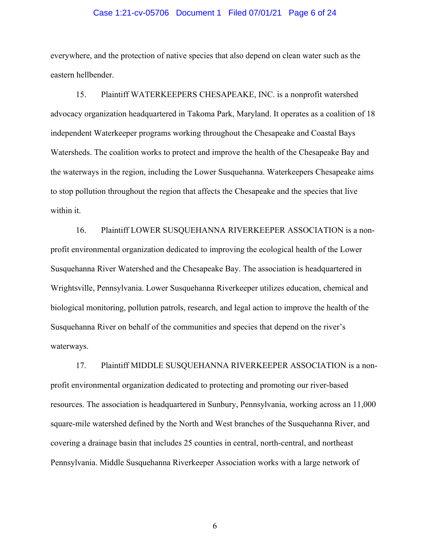#### Case 1:21-cv-05706 Document 1 Filed 07/01/21 Page 6 of 24

everywhere, and the protection of native species that also depend on clean water such as the eastern hellbender.

15. Plaintiff WATERKEEPERS CHESAPEAKE, INC. is a nonprofit watershed advocacy organization headquartered in Takoma Park, Maryland. It operates as a coalition of 18 independent Waterkeeper programs working throughout the Chesapeake and Coastal Bays Watersheds. The coalition works to protect and improve the health of the Chesapeake Bay and the waterways in the region, including the Lower Susquehanna. Waterkeepers Chesapeake aims to stop pollution throughout the region that affects the Chesapeake and the species that live within it.

16. Plaintiff LOWER SUSQUEHANNA RIVERKEEPER ASSOCIATION is a nonprofit environmental organization dedicated to improving the ecological health of the Lower Susquehanna River Watershed and the Chesapeake Bay. The association is headquartered in Wrightsville, Pennsylvania. Lower Susquehanna Riverkeeper utilizes education, chemical and biological monitoring, pollution patrols, research, and legal action to improve the health of the Susquehanna River on behalf of the communities and species that depend on the river's waterways.

17. Plaintiff MIDDLE SUSQUEHANNA RIVERKEEPER ASSOCIATION is a nonprofit environmental organization dedicated to protecting and promoting our river-based resources. The association is headquartered in Sunbury, Pennsylvania, working across an 11,000 square-mile watershed defined by the North and West branches of the Susquehanna River, and covering a drainage basin that includes 25 counties in central, north-central, and northeast Pennsylvania. Middle Susquehanna Riverkeeper Association works with a large network of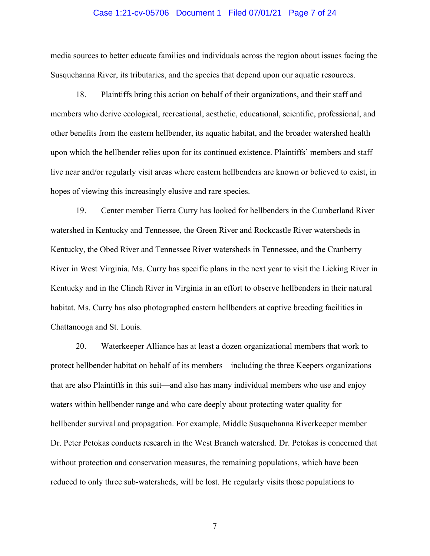#### Case 1:21-cv-05706 Document 1 Filed 07/01/21 Page 7 of 24

media sources to better educate families and individuals across the region about issues facing the Susquehanna River, its tributaries, and the species that depend upon our aquatic resources.

18. Plaintiffs bring this action on behalf of their organizations, and their staff and members who derive ecological, recreational, aesthetic, educational, scientific, professional, and other benefits from the eastern hellbender, its aquatic habitat, and the broader watershed health upon which the hellbender relies upon for its continued existence. Plaintiffs' members and staff live near and/or regularly visit areas where eastern hellbenders are known or believed to exist, in hopes of viewing this increasingly elusive and rare species.

19. Center member Tierra Curry has looked for hellbenders in the Cumberland River watershed in Kentucky and Tennessee, the Green River and Rockcastle River watersheds in Kentucky, the Obed River and Tennessee River watersheds in Tennessee, and the Cranberry River in West Virginia. Ms. Curry has specific plans in the next year to visit the Licking River in Kentucky and in the Clinch River in Virginia in an effort to observe hellbenders in their natural habitat. Ms. Curry has also photographed eastern hellbenders at captive breeding facilities in Chattanooga and St. Louis.

20. Waterkeeper Alliance has at least a dozen organizational members that work to protect hellbender habitat on behalf of its members—including the three Keepers organizations that are also Plaintiffs in this suit—and also has many individual members who use and enjoy waters within hellbender range and who care deeply about protecting water quality for hellbender survival and propagation. For example, Middle Susquehanna Riverkeeper member Dr. Peter Petokas conducts research in the West Branch watershed. Dr. Petokas is concerned that without protection and conservation measures, the remaining populations, which have been reduced to only three sub-watersheds, will be lost. He regularly visits those populations to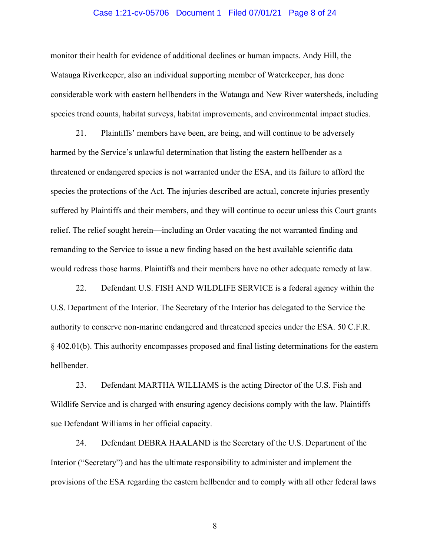#### Case 1:21-cv-05706 Document 1 Filed 07/01/21 Page 8 of 24

monitor their health for evidence of additional declines or human impacts. Andy Hill, the Watauga Riverkeeper, also an individual supporting member of Waterkeeper, has done considerable work with eastern hellbenders in the Watauga and New River watersheds, including species trend counts, habitat surveys, habitat improvements, and environmental impact studies.

21. Plaintiffs' members have been, are being, and will continue to be adversely harmed by the Service's unlawful determination that listing the eastern hellbender as a threatened or endangered species is not warranted under the ESA, and its failure to afford the species the protections of the Act. The injuries described are actual, concrete injuries presently suffered by Plaintiffs and their members, and they will continue to occur unless this Court grants relief. The relief sought herein—including an Order vacating the not warranted finding and remanding to the Service to issue a new finding based on the best available scientific data would redress those harms. Plaintiffs and their members have no other adequate remedy at law.

22. Defendant U.S. FISH AND WILDLIFE SERVICE is a federal agency within the U.S. Department of the Interior. The Secretary of the Interior has delegated to the Service the authority to conserve non-marine endangered and threatened species under the ESA. 50 C.F.R. § 402.01(b). This authority encompasses proposed and final listing determinations for the eastern hellbender.

23. Defendant MARTHA WILLIAMS is the acting Director of the U.S. Fish and Wildlife Service and is charged with ensuring agency decisions comply with the law. Plaintiffs sue Defendant Williams in her official capacity.

24. Defendant DEBRA HAALAND is the Secretary of the U.S. Department of the Interior ("Secretary") and has the ultimate responsibility to administer and implement the provisions of the ESA regarding the eastern hellbender and to comply with all other federal laws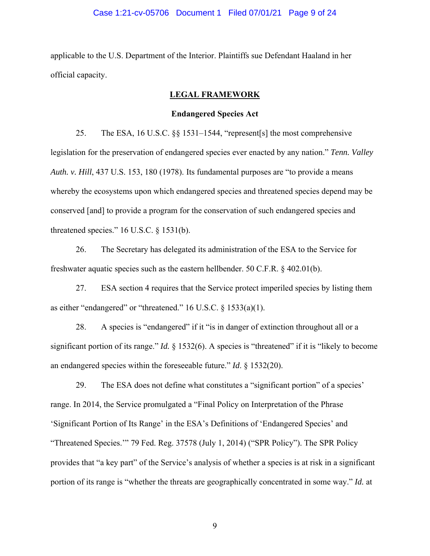#### Case 1:21-cv-05706 Document 1 Filed 07/01/21 Page 9 of 24

applicable to the U.S. Department of the Interior. Plaintiffs sue Defendant Haaland in her official capacity.

## **LEGAL FRAMEWORK**

#### **Endangered Species Act**

25. The ESA, 16 U.S.C. §§ 1531–1544, "represent[s] the most comprehensive legislation for the preservation of endangered species ever enacted by any nation." *Tenn. Valley Auth. v. Hill*, 437 U.S. 153, 180 (1978). Its fundamental purposes are "to provide a means whereby the ecosystems upon which endangered species and threatened species depend may be conserved [and] to provide a program for the conservation of such endangered species and threatened species." 16 U.S.C. § 1531(b).

26. The Secretary has delegated its administration of the ESA to the Service for freshwater aquatic species such as the eastern hellbender. 50 C.F.R. § 402.01(b).

27. ESA section 4 requires that the Service protect imperiled species by listing them as either "endangered" or "threatened."  $16$  U.S.C. §  $1533(a)(1)$ .

28. A species is "endangered" if it "is in danger of extinction throughout all or a significant portion of its range." *Id.* § 1532(6). A species is "threatened" if it is "likely to become an endangered species within the foreseeable future." *Id*. § 1532(20).

29. The ESA does not define what constitutes a "significant portion" of a species' range. In 2014, the Service promulgated a "Final Policy on Interpretation of the Phrase 'Significant Portion of Its Range' in the ESA's Definitions of 'Endangered Species' and "Threatened Species.'" 79 Fed. Reg. 37578 (July 1, 2014) ("SPR Policy"). The SPR Policy provides that "a key part" of the Service's analysis of whether a species is at risk in a significant portion of its range is "whether the threats are geographically concentrated in some way." *Id.* at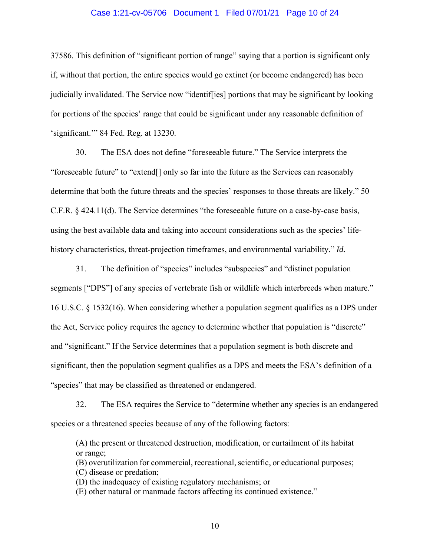#### Case 1:21-cv-05706 Document 1 Filed 07/01/21 Page 10 of 24

37586. This definition of "significant portion of range" saying that a portion is significant only if, without that portion, the entire species would go extinct (or become endangered) has been judicially invalidated. The Service now "identif[ies] portions that may be significant by looking for portions of the species' range that could be significant under any reasonable definition of 'significant.'" 84 Fed. Reg. at 13230.

30. The ESA does not define "foreseeable future." The Service interprets the "foreseeable future" to "extend[] only so far into the future as the Services can reasonably determine that both the future threats and the species' responses to those threats are likely." 50 C.F.R. § 424.11(d). The Service determines "the foreseeable future on a case-by-case basis, using the best available data and taking into account considerations such as the species' lifehistory characteristics, threat-projection timeframes, and environmental variability." *Id.*

31. The definition of "species" includes "subspecies" and "distinct population segments ["DPS"] of any species of vertebrate fish or wildlife which interbreeds when mature." 16 U.S.C. § 1532(16). When considering whether a population segment qualifies as a DPS under the Act, Service policy requires the agency to determine whether that population is "discrete" and "significant." If the Service determines that a population segment is both discrete and significant, then the population segment qualifies as a DPS and meets the ESA's definition of a "species" that may be classified as threatened or endangered.

32. The ESA requires the Service to "determine whether any species is an endangered species or a threatened species because of any of the following factors:

(A) the present or threatened destruction, modification, or curtailment of its habitat or range;

(B) overutilization for commercial, recreational, scientific, or educational purposes; (C) disease or predation;

(D) the inadequacy of existing regulatory mechanisms; or

(E) other natural or manmade factors affecting its continued existence."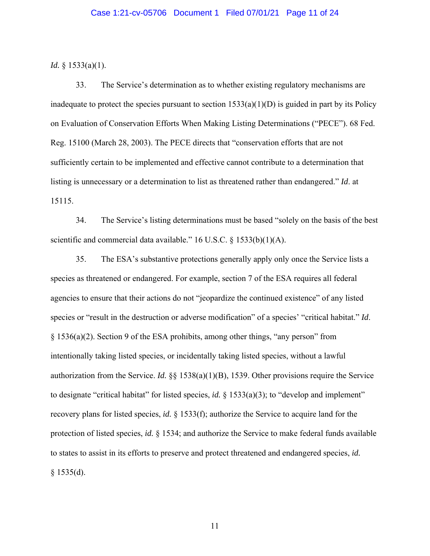#### Case 1:21-cv-05706 Document 1 Filed 07/01/21 Page 11 of 24

*Id.* § 1533(a)(1).

33. The Service's determination as to whether existing regulatory mechanisms are inadequate to protect the species pursuant to section  $1533(a)(1)(D)$  is guided in part by its Policy on Evaluation of Conservation Efforts When Making Listing Determinations ("PECE"). 68 Fed. Reg. 15100 (March 28, 2003). The PECE directs that "conservation efforts that are not sufficiently certain to be implemented and effective cannot contribute to a determination that listing is unnecessary or a determination to list as threatened rather than endangered." *Id*. at 15115.

34. The Service's listing determinations must be based "solely on the basis of the best scientific and commercial data available." 16 U.S.C. § 1533(b)(1)(A).

35. The ESA's substantive protections generally apply only once the Service lists a species as threatened or endangered. For example, section 7 of the ESA requires all federal agencies to ensure that their actions do not "jeopardize the continued existence" of any listed species or "result in the destruction or adverse modification" of a species' "critical habitat." *Id*. § 1536(a)(2). Section 9 of the ESA prohibits, among other things, "any person" from intentionally taking listed species, or incidentally taking listed species, without a lawful authorization from the Service. *Id.* §§ 1538(a)(1)(B), 1539. Other provisions require the Service to designate "critical habitat" for listed species, *id.* § 1533(a)(3); to "develop and implement" recovery plans for listed species, *id.* § 1533(f); authorize the Service to acquire land for the protection of listed species, *id.* § 1534; and authorize the Service to make federal funds available to states to assist in its efforts to preserve and protect threatened and endangered species, *id.*  $§$  1535(d).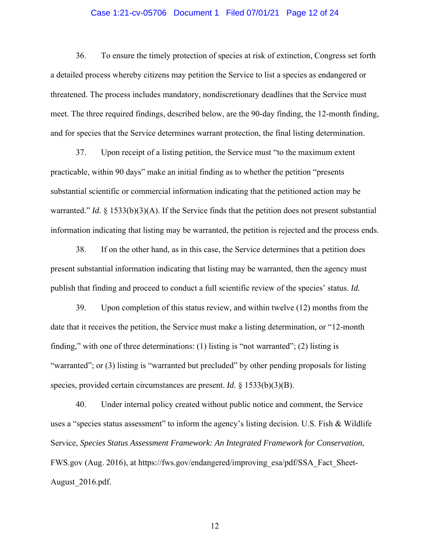### Case 1:21-cv-05706 Document 1 Filed 07/01/21 Page 12 of 24

36. To ensure the timely protection of species at risk of extinction, Congress set forth a detailed process whereby citizens may petition the Service to list a species as endangered or threatened. The process includes mandatory, nondiscretionary deadlines that the Service must meet. The three required findings, described below, are the 90-day finding, the 12-month finding, and for species that the Service determines warrant protection, the final listing determination.

37. Upon receipt of a listing petition, the Service must "to the maximum extent practicable, within 90 days" make an initial finding as to whether the petition "presents substantial scientific or commercial information indicating that the petitioned action may be warranted." *Id.* § 1533(b)(3)(A). If the Service finds that the petition does not present substantial information indicating that listing may be warranted, the petition is rejected and the process ends.

38. If on the other hand, as in this case, the Service determines that a petition does present substantial information indicating that listing may be warranted, then the agency must publish that finding and proceed to conduct a full scientific review of the species' status. *Id.*

39. Upon completion of this status review, and within twelve (12) months from the date that it receives the petition, the Service must make a listing determination, or "12-month finding," with one of three determinations: (1) listing is "not warranted"; (2) listing is "warranted"; or (3) listing is "warranted but precluded" by other pending proposals for listing species, provided certain circumstances are present. *Id.* § 1533(b)(3)(B).

40. Under internal policy created without public notice and comment, the Service uses a "species status assessment" to inform the agency's listing decision. U.S. Fish & Wildlife Service, *Species Status Assessment Framework: An Integrated Framework for Conservation*, FWS.gov (Aug. 2016), at https://fws.gov/endangered/improving\_esa/pdf/SSA\_Fact\_Sheet-August\_2016.pdf.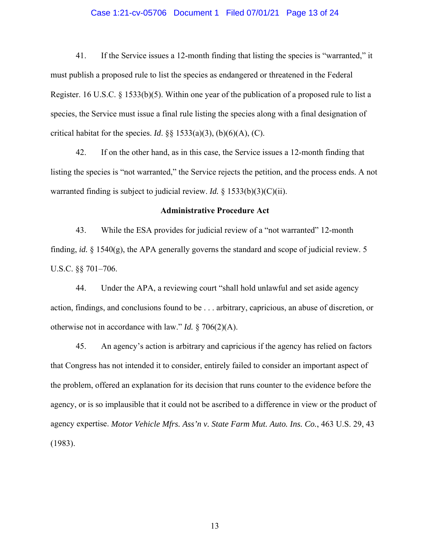## Case 1:21-cv-05706 Document 1 Filed 07/01/21 Page 13 of 24

41. If the Service issues a 12-month finding that listing the species is "warranted," it must publish a proposed rule to list the species as endangered or threatened in the Federal Register. 16 U.S.C. § 1533(b)(5). Within one year of the publication of a proposed rule to list a species, the Service must issue a final rule listing the species along with a final designation of critical habitat for the species. *Id.* §§  $1533(a)(3)$ , (b)(6)(A), (C).

42. If on the other hand, as in this case, the Service issues a 12-month finding that listing the species is "not warranted," the Service rejects the petition, and the process ends. A not warranted finding is subject to judicial review. *Id.* § 1533(b)(3)(C)(ii).

#### **Administrative Procedure Act**

43. While the ESA provides for judicial review of a "not warranted" 12-month finding, *id.* § 1540(g), the APA generally governs the standard and scope of judicial review. 5 U.S.C. §§ 701–706.

44. Under the APA, a reviewing court "shall hold unlawful and set aside agency action, findings, and conclusions found to be . . . arbitrary, capricious, an abuse of discretion, or otherwise not in accordance with law." *Id.* § 706(2)(A).

45. An agency's action is arbitrary and capricious if the agency has relied on factors that Congress has not intended it to consider, entirely failed to consider an important aspect of the problem, offered an explanation for its decision that runs counter to the evidence before the agency, or is so implausible that it could not be ascribed to a difference in view or the product of agency expertise. *Motor Vehicle Mfrs. Ass'n v. State Farm Mut. Auto. Ins. Co.*, 463 U.S. 29, 43 (1983).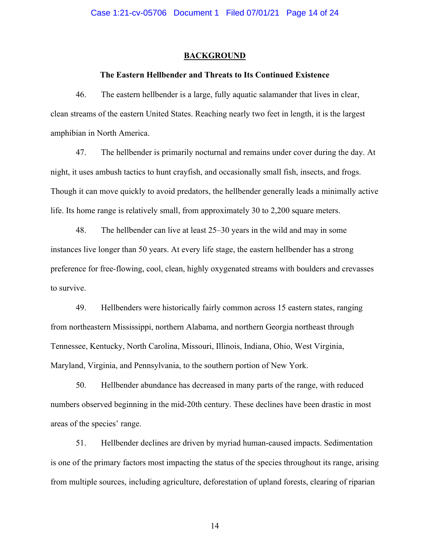#### Case 1:21-cv-05706 Document 1 Filed 07/01/21 Page 14 of 24

#### **BACKGROUND**

#### **The Eastern Hellbender and Threats to Its Continued Existence**

46. The eastern hellbender is a large, fully aquatic salamander that lives in clear, clean streams of the eastern United States. Reaching nearly two feet in length, it is the largest amphibian in North America.

47. The hellbender is primarily nocturnal and remains under cover during the day. At night, it uses ambush tactics to hunt crayfish, and occasionally small fish, insects, and frogs. Though it can move quickly to avoid predators, the hellbender generally leads a minimally active life. Its home range is relatively small, from approximately 30 to 2,200 square meters.

48. The hellbender can live at least 25–30 years in the wild and may in some instances live longer than 50 years. At every life stage, the eastern hellbender has a strong preference for free-flowing, cool, clean, highly oxygenated streams with boulders and crevasses to survive.

49. Hellbenders were historically fairly common across 15 eastern states, ranging from northeastern Mississippi, northern Alabama, and northern Georgia northeast through Tennessee, Kentucky, North Carolina, Missouri, Illinois, Indiana, Ohio, West Virginia, Maryland, Virginia, and Pennsylvania, to the southern portion of New York.

50. Hellbender abundance has decreased in many parts of the range, with reduced numbers observed beginning in the mid-20th century. These declines have been drastic in most areas of the species' range.

51. Hellbender declines are driven by myriad human-caused impacts. Sedimentation is one of the primary factors most impacting the status of the species throughout its range, arising from multiple sources, including agriculture, deforestation of upland forests, clearing of riparian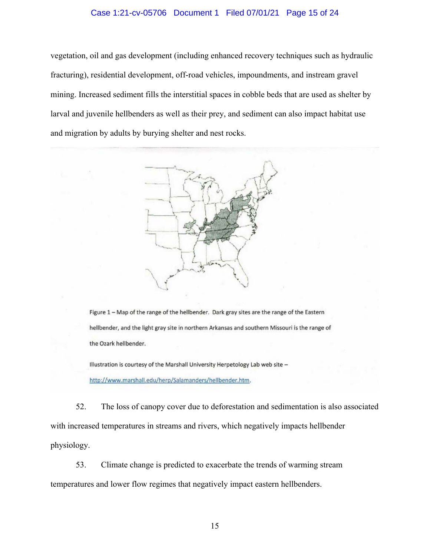## Case 1:21-cv-05706 Document 1 Filed 07/01/21 Page 15 of 24

vegetation, oil and gas development (including enhanced recovery techniques such as hydraulic fracturing), residential development, off-road vehicles, impoundments, and instream gravel mining. Increased sediment fills the interstitial spaces in cobble beds that are used as shelter by larval and juvenile hellbenders as well as their prey, and sediment can also impact habitat use and migration by adults by burying shelter and nest rocks.



Figure 1 - Map of the range of the hellbender. Dark gray sites are the range of the Eastern hellbender, and the light gray site in northern Arkansas and southern Missouri is the range of the Ozark hellbender.

Illustration is courtesy of the Marshall University Herpetology Lab web site http://www.marshall.edu/herp/Salamanders/hellbender.htm.

52. The loss of canopy cover due to deforestation and sedimentation is also associated with increased temperatures in streams and rivers, which negatively impacts hellbender physiology.

53. Climate change is predicted to exacerbate the trends of warming stream temperatures and lower flow regimes that negatively impact eastern hellbenders.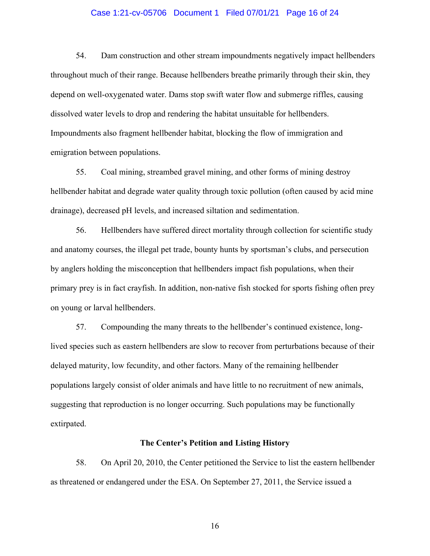#### Case 1:21-cv-05706 Document 1 Filed 07/01/21 Page 16 of 24

54. Dam construction and other stream impoundments negatively impact hellbenders throughout much of their range. Because hellbenders breathe primarily through their skin, they depend on well-oxygenated water. Dams stop swift water flow and submerge riffles, causing dissolved water levels to drop and rendering the habitat unsuitable for hellbenders. Impoundments also fragment hellbender habitat, blocking the flow of immigration and emigration between populations.

55. Coal mining, streambed gravel mining, and other forms of mining destroy hellbender habitat and degrade water quality through toxic pollution (often caused by acid mine drainage), decreased pH levels, and increased siltation and sedimentation.

56. Hellbenders have suffered direct mortality through collection for scientific study and anatomy courses, the illegal pet trade, bounty hunts by sportsman's clubs, and persecution by anglers holding the misconception that hellbenders impact fish populations, when their primary prey is in fact crayfish. In addition, non-native fish stocked for sports fishing often prey on young or larval hellbenders.

57. Compounding the many threats to the hellbender's continued existence, longlived species such as eastern hellbenders are slow to recover from perturbations because of their delayed maturity, low fecundity, and other factors. Many of the remaining hellbender populations largely consist of older animals and have little to no recruitment of new animals, suggesting that reproduction is no longer occurring. Such populations may be functionally extirpated.

#### **The Center's Petition and Listing History**

58. On April 20, 2010, the Center petitioned the Service to list the eastern hellbender as threatened or endangered under the ESA. On September 27, 2011, the Service issued a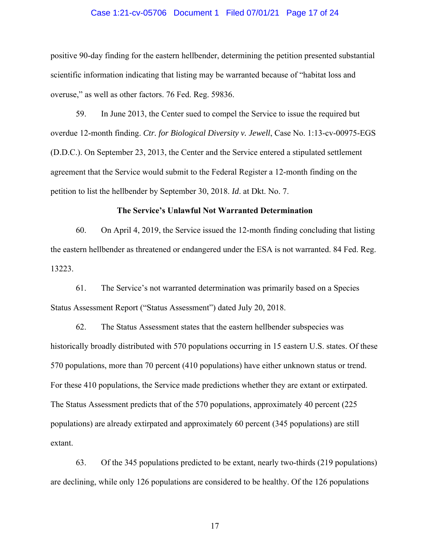#### Case 1:21-cv-05706 Document 1 Filed 07/01/21 Page 17 of 24

positive 90-day finding for the eastern hellbender, determining the petition presented substantial scientific information indicating that listing may be warranted because of "habitat loss and overuse," as well as other factors. 76 Fed. Reg. 59836.

59. In June 2013, the Center sued to compel the Service to issue the required but overdue 12-month finding. *Ctr. for Biological Diversity v. Jewell*, Case No. 1:13-cv-00975-EGS (D.D.C.). On September 23, 2013, the Center and the Service entered a stipulated settlement agreement that the Service would submit to the Federal Register a 12-month finding on the petition to list the hellbender by September 30, 2018. *Id*. at Dkt. No. 7.

#### **The Service's Unlawful Not Warranted Determination**

60. On April 4, 2019, the Service issued the 12-month finding concluding that listing the eastern hellbender as threatened or endangered under the ESA is not warranted. 84 Fed. Reg. 13223.

61. The Service's not warranted determination was primarily based on a Species Status Assessment Report ("Status Assessment") dated July 20, 2018.

62. The Status Assessment states that the eastern hellbender subspecies was historically broadly distributed with 570 populations occurring in 15 eastern U.S. states. Of these 570 populations, more than 70 percent (410 populations) have either unknown status or trend. For these 410 populations, the Service made predictions whether they are extant or extirpated. The Status Assessment predicts that of the 570 populations, approximately 40 percent (225 populations) are already extirpated and approximately 60 percent (345 populations) are still extant.

63. Of the 345 populations predicted to be extant, nearly two-thirds (219 populations) are declining, while only 126 populations are considered to be healthy. Of the 126 populations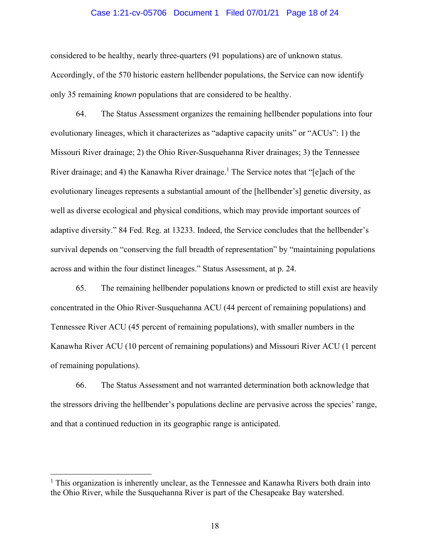#### Case 1:21-cv-05706 Document 1 Filed 07/01/21 Page 18 of 24

considered to be healthy, nearly three-quarters (91 populations) are of unknown status. Accordingly, of the 570 historic eastern hellbender populations, the Service can now identify only 35 remaining *known* populations that are considered to be healthy.

64. The Status Assessment organizes the remaining hellbender populations into four evolutionary lineages, which it characterizes as "adaptive capacity units" or "ACUs": 1) the Missouri River drainage; 2) the Ohio River-Susquehanna River drainages; 3) the Tennessee River drainage; and 4) the Kanawha River drainage.<sup>1</sup> The Service notes that "[e]ach of the evolutionary lineages represents a substantial amount of the [hellbender's] genetic diversity, as well as diverse ecological and physical conditions, which may provide important sources of adaptive diversity." 84 Fed. Reg. at 13233. Indeed, the Service concludes that the hellbender's survival depends on "conserving the full breadth of representation" by "maintaining populations across and within the four distinct lineages." Status Assessment, at p. 24.

65. The remaining hellbender populations known or predicted to still exist are heavily concentrated in the Ohio River-Susquehanna ACU (44 percent of remaining populations) and Tennessee River ACU (45 percent of remaining populations), with smaller numbers in the Kanawha River ACU (10 percent of remaining populations) and Missouri River ACU (1 percent of remaining populations).

66. The Status Assessment and not warranted determination both acknowledge that the stressors driving the hellbender's populations decline are pervasive across the species' range, and that a continued reduction in its geographic range is anticipated.

<sup>&</sup>lt;sup>1</sup> This organization is inherently unclear, as the Tennessee and Kanawha Rivers both drain into the Ohio River, while the Susquehanna River is part of the Chesapeake Bay watershed.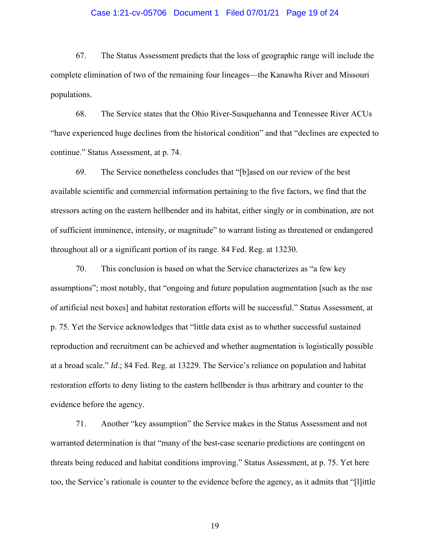#### Case 1:21-cv-05706 Document 1 Filed 07/01/21 Page 19 of 24

67. The Status Assessment predicts that the loss of geographic range will include the complete elimination of two of the remaining four lineages—the Kanawha River and Missouri populations.

68. The Service states that the Ohio River-Susquehanna and Tennessee River ACUs "have experienced huge declines from the historical condition" and that "declines are expected to continue." Status Assessment, at p. 74.

69. The Service nonetheless concludes that "[b]ased on our review of the best available scientific and commercial information pertaining to the five factors, we find that the stressors acting on the eastern hellbender and its habitat, either singly or in combination, are not of sufficient imminence, intensity, or magnitude" to warrant listing as threatened or endangered throughout all or a significant portion of its range. 84 Fed. Reg. at 13230.

70. This conclusion is based on what the Service characterizes as "a few key assumptions"; most notably, that "ongoing and future population augmentation [such as the use of artificial nest boxes] and habitat restoration efforts will be successful." Status Assessment, at p. 75. Yet the Service acknowledges that "little data exist as to whether successful sustained reproduction and recruitment can be achieved and whether augmentation is logistically possible at a broad scale." *Id*.; 84 Fed. Reg. at 13229. The Service's reliance on population and habitat restoration efforts to deny listing to the eastern hellbender is thus arbitrary and counter to the evidence before the agency.

71. Another "key assumption" the Service makes in the Status Assessment and not warranted determination is that "many of the best-case scenario predictions are contingent on threats being reduced and habitat conditions improving." Status Assessment, at p. 75. Yet here too, the Service's rationale is counter to the evidence before the agency, as it admits that "[l]ittle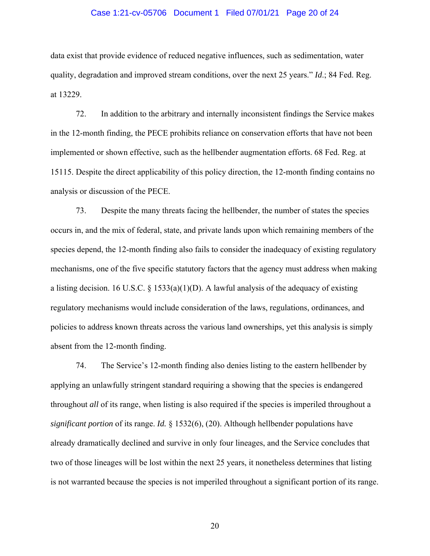#### Case 1:21-cv-05706 Document 1 Filed 07/01/21 Page 20 of 24

data exist that provide evidence of reduced negative influences, such as sedimentation, water quality, degradation and improved stream conditions, over the next 25 years." *Id*.; 84 Fed. Reg. at 13229.

72. In addition to the arbitrary and internally inconsistent findings the Service makes in the 12-month finding, the PECE prohibits reliance on conservation efforts that have not been implemented or shown effective, such as the hellbender augmentation efforts. 68 Fed. Reg. at 15115. Despite the direct applicability of this policy direction, the 12-month finding contains no analysis or discussion of the PECE.

73. Despite the many threats facing the hellbender, the number of states the species occurs in, and the mix of federal, state, and private lands upon which remaining members of the species depend, the 12-month finding also fails to consider the inadequacy of existing regulatory mechanisms, one of the five specific statutory factors that the agency must address when making a listing decision. 16 U.S.C. § 1533(a)(1)(D). A lawful analysis of the adequacy of existing regulatory mechanisms would include consideration of the laws, regulations, ordinances, and policies to address known threats across the various land ownerships, yet this analysis is simply absent from the 12-month finding.

74. The Service's 12-month finding also denies listing to the eastern hellbender by applying an unlawfully stringent standard requiring a showing that the species is endangered throughout *all* of its range, when listing is also required if the species is imperiled throughout a *significant portion* of its range. *Id.* § 1532(6), (20). Although hellbender populations have already dramatically declined and survive in only four lineages, and the Service concludes that two of those lineages will be lost within the next 25 years, it nonetheless determines that listing is not warranted because the species is not imperiled throughout a significant portion of its range.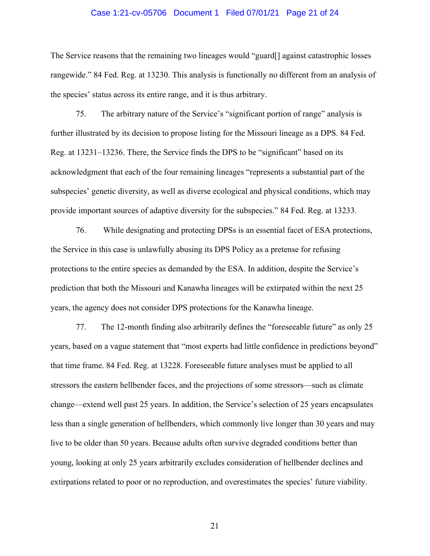#### Case 1:21-cv-05706 Document 1 Filed 07/01/21 Page 21 of 24

The Service reasons that the remaining two lineages would "guard[] against catastrophic losses rangewide." 84 Fed. Reg. at 13230. This analysis is functionally no different from an analysis of the species' status across its entire range, and it is thus arbitrary.

75. The arbitrary nature of the Service's "significant portion of range" analysis is further illustrated by its decision to propose listing for the Missouri lineage as a DPS. 84 Fed. Reg. at 13231–13236. There, the Service finds the DPS to be "significant" based on its acknowledgment that each of the four remaining lineages "represents a substantial part of the subspecies' genetic diversity, as well as diverse ecological and physical conditions, which may provide important sources of adaptive diversity for the subspecies." 84 Fed. Reg. at 13233.

76. While designating and protecting DPSs is an essential facet of ESA protections, the Service in this case is unlawfully abusing its DPS Policy as a pretense for refusing protections to the entire species as demanded by the ESA. In addition, despite the Service's prediction that both the Missouri and Kanawha lineages will be extirpated within the next 25 years, the agency does not consider DPS protections for the Kanawha lineage.

77. The 12-month finding also arbitrarily defines the "foreseeable future" as only 25 years, based on a vague statement that "most experts had little confidence in predictions beyond" that time frame. 84 Fed. Reg. at 13228. Foreseeable future analyses must be applied to all stressors the eastern hellbender faces, and the projections of some stressors—such as climate change—extend well past 25 years. In addition, the Service's selection of 25 years encapsulates less than a single generation of hellbenders, which commonly live longer than 30 years and may live to be older than 50 years. Because adults often survive degraded conditions better than young, looking at only 25 years arbitrarily excludes consideration of hellbender declines and extirpations related to poor or no reproduction, and overestimates the species' future viability.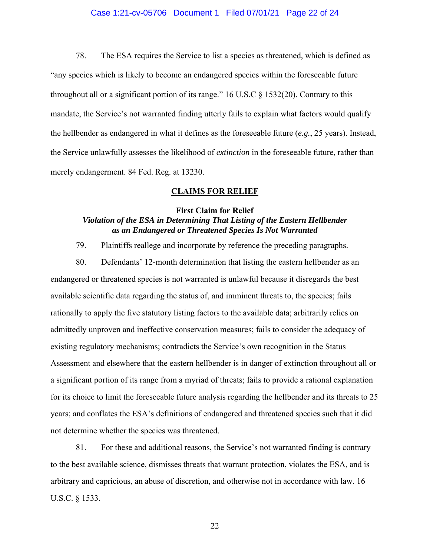### Case 1:21-cv-05706 Document 1 Filed 07/01/21 Page 22 of 24

78. The ESA requires the Service to list a species as threatened, which is defined as "any species which is likely to become an endangered species within the foreseeable future throughout all or a significant portion of its range."  $16$  U.S.C  $\S$  1532(20). Contrary to this mandate, the Service's not warranted finding utterly fails to explain what factors would qualify the hellbender as endangered in what it defines as the foreseeable future (*e.g.*, 25 years). Instead, the Service unlawfully assesses the likelihood of *extinction* in the foreseeable future, rather than merely endangerment. 84 Fed. Reg. at 13230.

#### **CLAIMS FOR RELIEF**

## **First Claim for Relief**

# *Violation of the ESA in Determining That Listing of the Eastern Hellbender as an Endangered or Threatened Species Is Not Warranted*

79. Plaintiffs reallege and incorporate by reference the preceding paragraphs.

80. Defendants' 12-month determination that listing the eastern hellbender as an endangered or threatened species is not warranted is unlawful because it disregards the best available scientific data regarding the status of, and imminent threats to, the species; fails rationally to apply the five statutory listing factors to the available data; arbitrarily relies on admittedly unproven and ineffective conservation measures; fails to consider the adequacy of existing regulatory mechanisms; contradicts the Service's own recognition in the Status Assessment and elsewhere that the eastern hellbender is in danger of extinction throughout all or a significant portion of its range from a myriad of threats; fails to provide a rational explanation for its choice to limit the foreseeable future analysis regarding the hellbender and its threats to 25 years; and conflates the ESA's definitions of endangered and threatened species such that it did not determine whether the species was threatened.

81. For these and additional reasons, the Service's not warranted finding is contrary to the best available science, dismisses threats that warrant protection, violates the ESA, and is arbitrary and capricious, an abuse of discretion, and otherwise not in accordance with law. 16 U.S.C. § 1533.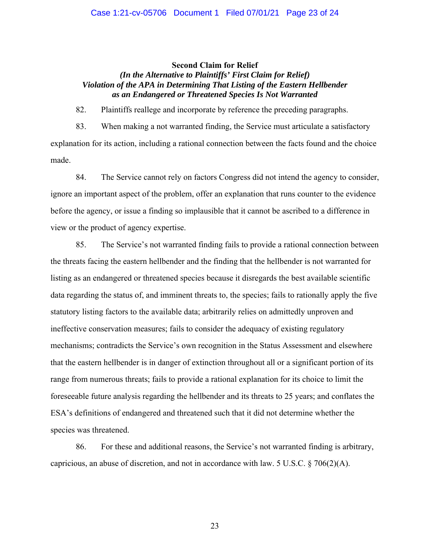## Case 1:21-cv-05706 Document 1 Filed 07/01/21 Page 23 of 24

#### **Second Claim for Relief**

## *(In the Alternative to Plaintiffs' First Claim for Relief) Violation of the APA in Determining That Listing of the Eastern Hellbender as an Endangered or Threatened Species Is Not Warranted*

82. Plaintiffs reallege and incorporate by reference the preceding paragraphs.

83. When making a not warranted finding, the Service must articulate a satisfactory explanation for its action, including a rational connection between the facts found and the choice made.

84. The Service cannot rely on factors Congress did not intend the agency to consider, ignore an important aspect of the problem, offer an explanation that runs counter to the evidence before the agency, or issue a finding so implausible that it cannot be ascribed to a difference in view or the product of agency expertise.

85. The Service's not warranted finding fails to provide a rational connection between the threats facing the eastern hellbender and the finding that the hellbender is not warranted for listing as an endangered or threatened species because it disregards the best available scientific data regarding the status of, and imminent threats to, the species; fails to rationally apply the five statutory listing factors to the available data; arbitrarily relies on admittedly unproven and ineffective conservation measures; fails to consider the adequacy of existing regulatory mechanisms; contradicts the Service's own recognition in the Status Assessment and elsewhere that the eastern hellbender is in danger of extinction throughout all or a significant portion of its range from numerous threats; fails to provide a rational explanation for its choice to limit the foreseeable future analysis regarding the hellbender and its threats to 25 years; and conflates the ESA's definitions of endangered and threatened such that it did not determine whether the species was threatened.

86. For these and additional reasons, the Service's not warranted finding is arbitrary, capricious, an abuse of discretion, and not in accordance with law. 5 U.S.C.  $\S 706(2)(A)$ .